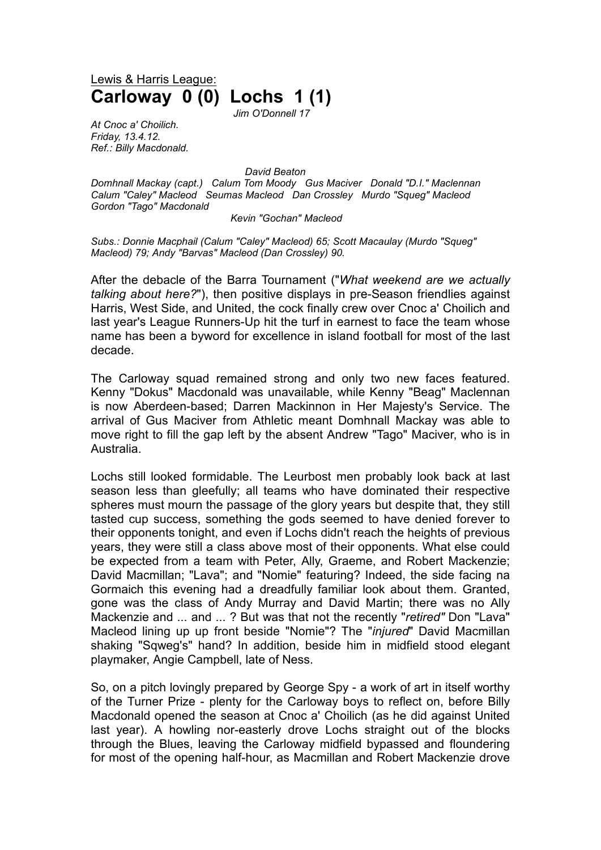Lewis & Harris League: **Carloway 0 (0) Lochs 1 (1)**

*Jim O'Donnell 17*

*At Cnoc a' Choilich. Friday, 13.4.12. Ref.: Billy Macdonald.*

*David Beaton*

*Domhnall Mackay (capt.) Calum Tom Moody Gus Maciver Donald "D.I." Maclennan Calum "Caley" Macleod Seumas Macleod Dan Crossley Murdo "Squeg" Macleod Gordon "Tago" Macdonald*

*Kevin "Gochan" Macleod*

*Subs.: Donnie Macphail (Calum "Caley" Macleod) 65; Scott Macaulay (Murdo "Squeg" Macleod) 79; Andy "Barvas" Macleod (Dan Crossley) 90.* 

After the debacle of the Barra Tournament ("*What weekend are we actually talking about here?*"), then positive displays in pre-Season friendlies against Harris, West Side, and United, the cock finally crew over Cnoc a' Choilich and last year's League Runners-Up hit the turf in earnest to face the team whose name has been a byword for excellence in island football for most of the last decade.

The Carloway squad remained strong and only two new faces featured. Kenny "Dokus" Macdonald was unavailable, while Kenny "Beag" Maclennan is now Aberdeen-based; Darren Mackinnon in Her Majesty's Service. The arrival of Gus Maciver from Athletic meant Domhnall Mackay was able to move right to fill the gap left by the absent Andrew "Tago" Maciver, who is in Australia.

Lochs still looked formidable. The Leurbost men probably look back at last season less than gleefully; all teams who have dominated their respective spheres must mourn the passage of the glory years but despite that, they still tasted cup success, something the gods seemed to have denied forever to their opponents tonight, and even if Lochs didn't reach the heights of previous years, they were still a class above most of their opponents. What else could be expected from a team with Peter, Ally, Graeme, and Robert Mackenzie; David Macmillan; "Lava"; and "Nomie" featuring? Indeed, the side facing na Gormaich this evening had a dreadfully familiar look about them. Granted, gone was the class of Andy Murray and David Martin; there was no Ally Mackenzie and ... and ... ? But was that not the recently "*retired"* Don "Lava" Macleod lining up up front beside "Nomie"? The "*injured*" David Macmillan shaking "Sqweg's" hand? In addition, beside him in midfield stood elegant playmaker, Angie Campbell, late of Ness.

So, on a pitch lovingly prepared by George Spy - a work of art in itself worthy of the Turner Prize - plenty for the Carloway boys to reflect on, before Billy Macdonald opened the season at Cnoc a' Choilich (as he did against United last year). A howling nor-easterly drove Lochs straight out of the blocks through the Blues, leaving the Carloway midfield bypassed and floundering for most of the opening half-hour, as Macmillan and Robert Mackenzie drove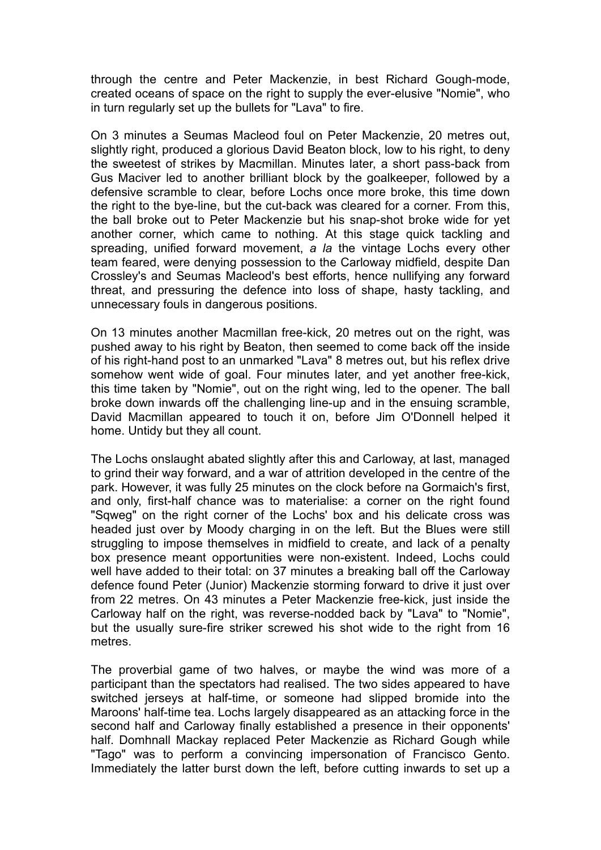through the centre and Peter Mackenzie, in best Richard Gough-mode, created oceans of space on the right to supply the ever-elusive "Nomie", who in turn regularly set up the bullets for "Lava" to fire.

On 3 minutes a Seumas Macleod foul on Peter Mackenzie, 20 metres out, slightly right, produced a glorious David Beaton block, low to his right, to deny the sweetest of strikes by Macmillan. Minutes later, a short pass-back from Gus Maciver led to another brilliant block by the goalkeeper, followed by a defensive scramble to clear, before Lochs once more broke, this time down the right to the bye-line, but the cut-back was cleared for a corner. From this, the ball broke out to Peter Mackenzie but his snap-shot broke wide for yet another corner, which came to nothing. At this stage quick tackling and spreading, unified forward movement, *a la* the vintage Lochs every other team feared, were denying possession to the Carloway midfield, despite Dan Crossley's and Seumas Macleod's best efforts, hence nullifying any forward threat, and pressuring the defence into loss of shape, hasty tackling, and unnecessary fouls in dangerous positions.

On 13 minutes another Macmillan free-kick, 20 metres out on the right, was pushed away to his right by Beaton, then seemed to come back off the inside of his right-hand post to an unmarked "Lava" 8 metres out, but his reflex drive somehow went wide of goal. Four minutes later, and yet another free-kick, this time taken by "Nomie", out on the right wing, led to the opener. The ball broke down inwards off the challenging line-up and in the ensuing scramble, David Macmillan appeared to touch it on, before Jim O'Donnell helped it home. Untidy but they all count.

The Lochs onslaught abated slightly after this and Carloway, at last, managed to grind their way forward, and a war of attrition developed in the centre of the park. However, it was fully 25 minutes on the clock before na Gormaich's first, and only, first-half chance was to materialise: a corner on the right found "Sqweg" on the right corner of the Lochs' box and his delicate cross was headed just over by Moody charging in on the left. But the Blues were still struggling to impose themselves in midfield to create, and lack of a penalty box presence meant opportunities were non-existent. Indeed, Lochs could well have added to their total: on 37 minutes a breaking ball off the Carloway defence found Peter (Junior) Mackenzie storming forward to drive it just over from 22 metres. On 43 minutes a Peter Mackenzie free-kick, just inside the Carloway half on the right, was reverse-nodded back by "Lava" to "Nomie", but the usually sure-fire striker screwed his shot wide to the right from 16 metres.

The proverbial game of two halves, or maybe the wind was more of a participant than the spectators had realised. The two sides appeared to have switched jerseys at half-time, or someone had slipped bromide into the Maroons' half-time tea. Lochs largely disappeared as an attacking force in the second half and Carloway finally established a presence in their opponents' half. Domhnall Mackay replaced Peter Mackenzie as Richard Gough while "Tago" was to perform a convincing impersonation of Francisco Gento. Immediately the latter burst down the left, before cutting inwards to set up a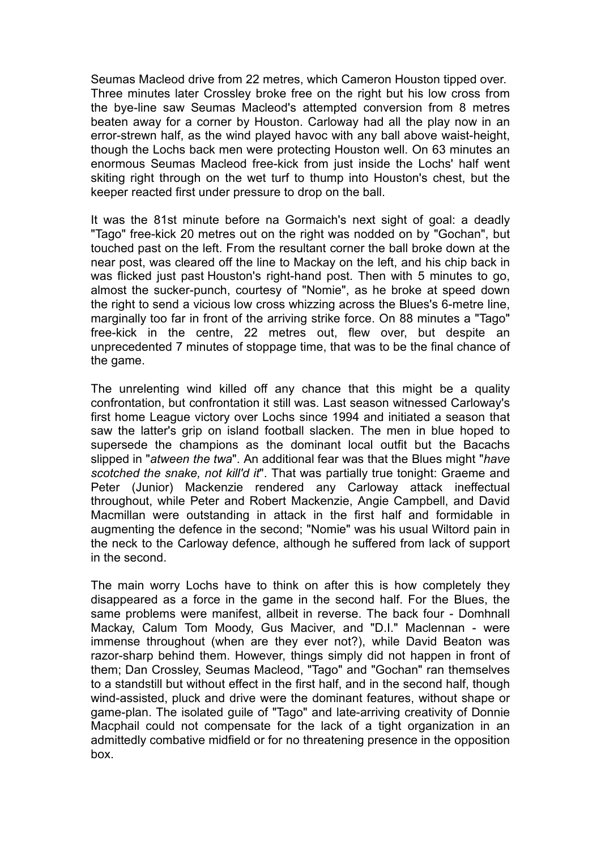Seumas Macleod drive from 22 metres, which Cameron Houston tipped over. Three minutes later Crossley broke free on the right but his low cross from the bye-line saw Seumas Macleod's attempted conversion from 8 metres beaten away for a corner by Houston. Carloway had all the play now in an error-strewn half, as the wind played havoc with any ball above waist-height, though the Lochs back men were protecting Houston well. On 63 minutes an enormous Seumas Macleod free-kick from just inside the Lochs' half went skiting right through on the wet turf to thump into Houston's chest, but the keeper reacted first under pressure to drop on the ball.

It was the 81st minute before na Gormaich's next sight of goal: a deadly "Tago" free-kick 20 metres out on the right was nodded on by "Gochan", but touched past on the left. From the resultant corner the ball broke down at the near post, was cleared off the line to Mackay on the left, and his chip back in was flicked just past Houston's right-hand post. Then with 5 minutes to go, almost the sucker-punch, courtesy of "Nomie", as he broke at speed down the right to send a vicious low cross whizzing across the Blues's 6-metre line, marginally too far in front of the arriving strike force. On 88 minutes a "Tago" free-kick in the centre, 22 metres out, flew over, but despite an unprecedented 7 minutes of stoppage time, that was to be the final chance of the game.

The unrelenting wind killed off any chance that this might be a quality confrontation, but confrontation it still was. Last season witnessed Carloway's first home League victory over Lochs since 1994 and initiated a season that saw the latter's grip on island football slacken. The men in blue hoped to supersede the champions as the dominant local outfit but the Bacachs slipped in "*atween the twa*". An additional fear was that the Blues might "*have scotched the snake, not kill'd it*". That was partially true tonight: Graeme and Peter (Junior) Mackenzie rendered any Carloway attack ineffectual throughout, while Peter and Robert Mackenzie, Angie Campbell, and David Macmillan were outstanding in attack in the first half and formidable in augmenting the defence in the second; "Nomie" was his usual Wiltord pain in the neck to the Carloway defence, although he suffered from lack of support in the second.

The main worry Lochs have to think on after this is how completely they disappeared as a force in the game in the second half. For the Blues, the same problems were manifest, allbeit in reverse. The back four - Domhnall Mackay, Calum Tom Moody, Gus Maciver, and "D.I." Maclennan - were immense throughout (when are they ever not?), while David Beaton was razor-sharp behind them. However, things simply did not happen in front of them; Dan Crossley, Seumas Macleod, "Tago" and "Gochan" ran themselves to a standstill but without effect in the first half, and in the second half, though wind-assisted, pluck and drive were the dominant features, without shape or game-plan. The isolated guile of "Tago" and late-arriving creativity of Donnie Macphail could not compensate for the lack of a tight organization in an admittedly combative midfield or for no threatening presence in the opposition box.